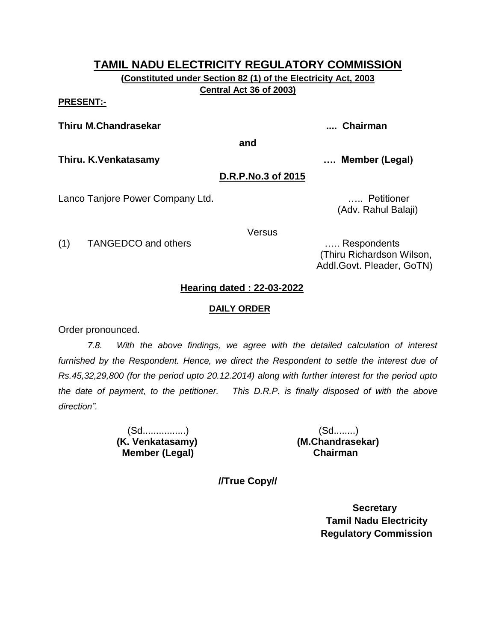**(Constituted under Section 82 (1) of the Electricity Act, 2003 Central Act 36 of 2003)**

#### **PRESENT:-**

**Thiru M.Chandrasekar .... Chairman**

**and**

**Thiru. K.Venkatasamy …. Member (Legal)**

#### **D.R.P.No.3 of 2015**

Lanco Tanjore Power Company Ltd. **Example 20 and Constanting Control** control control control control control con

(Adv. Rahul Balaji)

Versus

(1) TANGEDCO and others ….. Respondents

 (Thiru Richardson Wilson, Addl.Govt. Pleader, GoTN)

#### **Hearing dated : 22-03-2022**

#### **DAILY ORDER**

Order pronounced.

*7.8. With the above findings, we agree with the detailed calculation of interest furnished by the Respondent. Hence, we direct the Respondent to settle the interest due of Rs.45,32,29,800 (for the period upto 20.12.2014) along with further interest for the period upto the date of payment, to the petitioner. This D.R.P. is finally disposed of with the above direction".*

> (Sd................) (Sd........)  **Member (Legal) Chairman**

**(K. Venkatasamy) (M.Chandrasekar)**

**//True Copy//**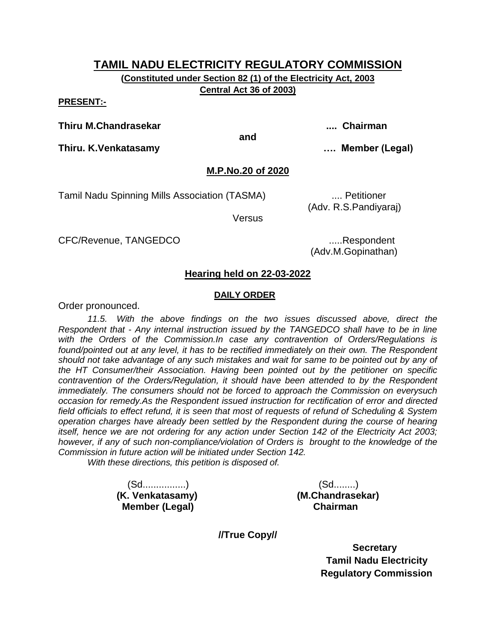**(Constituted under Section 82 (1) of the Electricity Act, 2003 Central Act 36 of 2003)**

#### **PRESENT:-**

**Thiru M.Chandrasekar .... Chairman**

**and**

**Thiru. K.Venkatasamy …. Member (Legal)**

#### **M.P.No.20 of 2020**

Tamil Nadu Spinning Mills Association (TASMA) .... Petitioner

(Adv. R.S.Pandiyaraj)

**Versus** 

CFC/Revenue, TANGEDCO .....Respondent

(Adv.M.Gopinathan)

#### **Hearing held on 22-03-2022**

#### **DAILY ORDER**

Order pronounced.

*11.5. With the above findings on the two issues discussed above, direct the Respondent that - Any internal instruction issued by the TANGEDCO shall have to be in line with the Orders of the Commission.In case any contravention of Orders/Regulations is*  found/pointed out at any level, it has to be rectified immediately on their own. The Respondent *should not take advantage of any such mistakes and wait for same to be pointed out by any of the HT Consumer/their Association. Having been pointed out by the petitioner on specific contravention of the Orders/Regulation, it should have been attended to by the Respondent immediately. The consumers should not be forced to approach the Commission on everysuch occasion for remedy.As the Respondent issued instruction for rectification of error and directed field officials to effect refund, it is seen that most of requests of refund of Scheduling & System operation charges have already been settled by the Respondent during the course of hearing itself, hence we are not ordering for any action under Section 142 of the Electricity Act 2003; however, if any of such non-compliance/violation of Orders is brought to the knowledge of the Commission in future action will be initiated under Section 142.* 

*With these directions, this petition is disposed of.*

 (Sd................) (Sd........) **Member (Legal)** 

**(K. Venkatasamy) (M.Chandrasekar)**

**//True Copy//**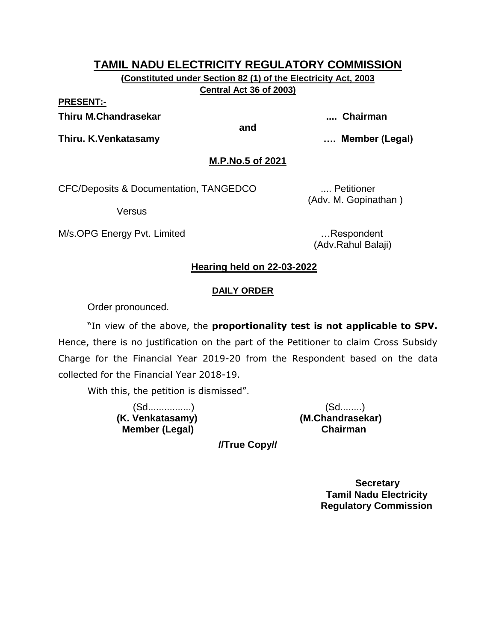**(Constituted under Section 82 (1) of the Electricity Act, 2003 Central Act 36 of 2003)**

**PRESENT:-**

**Thiru M.Chandrasekar .... Chairman**

**and**

**Thiru. K.Venkatasamy …. Member (Legal)**

**M.P.No.5 of 2021**

CFC/Deposits & Documentation, TANGEDCO .... Petitioner

Versus

M/s.OPG Energy Pvt. Limited **Energy Pullet Englisher 20** metabolism and metabolism and metabolism and metabolism

(Adv. M. Gopinathan )

(Adv.Rahul Balaji)

### **Hearing held on 22-03-2022**

#### **DAILY ORDER**

Order pronounced.

"In view of the above, the **proportionality test is not applicable to SPV.**  Hence, there is no justification on the part of the Petitioner to claim Cross Subsidy Charge for the Financial Year 2019-20 from the Respondent based on the data collected for the Financial Year 2018-19.

With this, the petition is dismissed".

 **Member (Legal) Chairman**

 (Sd................) (Sd........) **(K. Venkatasamy) (M.Chandrasekar)**

**//True Copy//**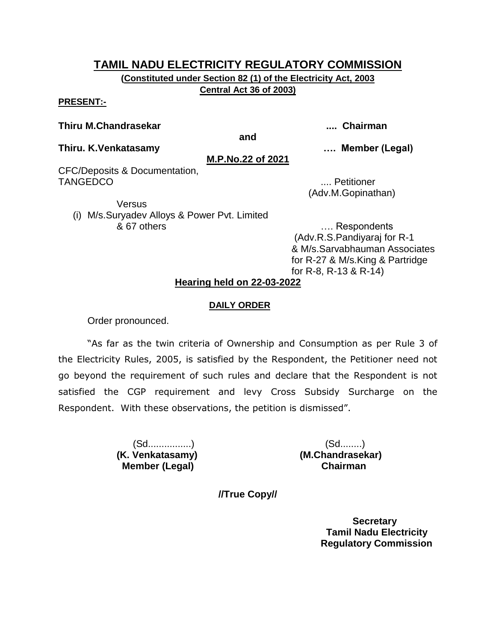**(Constituted under Section 82 (1) of the Electricity Act, 2003 Central Act 36 of 2003)**

#### **PRESENT:-**

#### **Thiru M.Chandrasekar .... Chairman**

**and**

**Thiru. K.Venkatasamy …. Member (Legal)**

**M.P.No.22 of 2021**

CFC/Deposits & Documentation, TANGEDCO .... Petitioner

(Adv.M.Gopinathan)

**Versus** (i) M/s.Suryadev Alloys & Power Pvt. Limited & 67 others …. Respondents

(Adv.R.S.Pandiyaraj for R-1 & M/s.Sarvabhauman Associates for R-27 & M/s.King & Partridge for R-8, R-13 & R-14)

### **Hearing held on 22-03-2022**

#### **DAILY ORDER**

Order pronounced.

"As far as the twin criteria of Ownership and Consumption as per Rule 3 of the Electricity Rules, 2005, is satisfied by the Respondent, the Petitioner need not go beyond the requirement of such rules and declare that the Respondent is not satisfied the CGP requirement and levy Cross Subsidy Surcharge on the Respondent. With these observations, the petition is dismissed".

 **Member (Legal) Chairman**

 (Sd................) (Sd........) **(K. Venkatasamy) (M.Chandrasekar)**

**//True Copy//**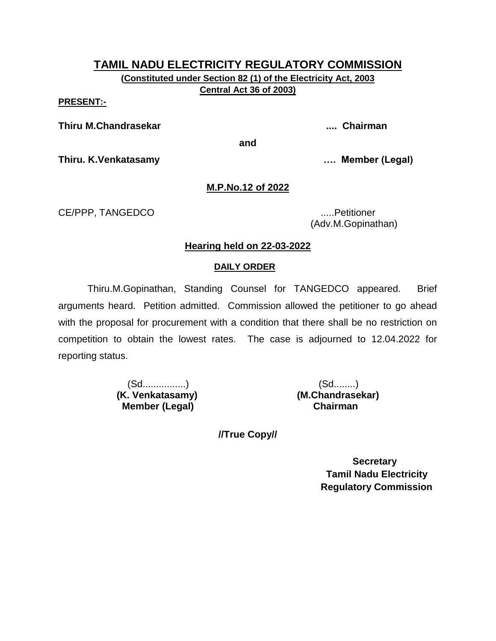**(Constituted under Section 82 (1) of the Electricity Act, 2003 Central Act 36 of 2003)**

**PRESENT:-**

**Thiru M.Chandrasekar .... Chairman**

**and**

**Thiru. K.Venkatasamy …. Member (Legal)**

#### **M.P.No.12 of 2022**

CE/PPP, TANGEDCO .....Petitioner

(Adv.M.Gopinathan)

#### **Hearing held on 22-03-2022**

#### **DAILY ORDER**

Thiru.M.Gopinathan, Standing Counsel for TANGEDCO appeared. Brief arguments heard. Petition admitted. Commission allowed the petitioner to go ahead with the proposal for procurement with a condition that there shall be no restriction on competition to obtain the lowest rates. The case is adjourned to 12.04.2022 for reporting status.

> (Sd................) (Sd........) **(K. Venkatasamy) (M.Chandrasekar) Member (Legal)**

**//True Copy//**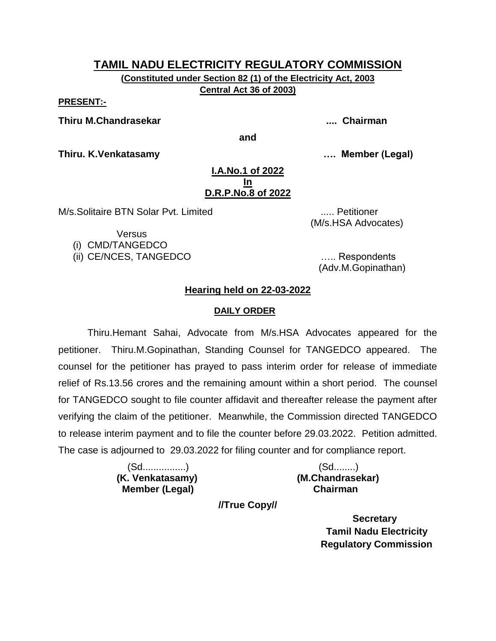**(Constituted under Section 82 (1) of the Electricity Act, 2003 Central Act 36 of 2003)**

#### **PRESENT:-**

**Thiru M.Chandrasekar .... Chairman**

**and**

**Thiru. K.Venkatasamy …. Member (Legal)**

#### **I.A.No.1 of 2022 In D.R.P.No.8 of 2022**

M/s.Solitaire BTN Solar Pvt. Limited ..... Petitioner

(M/s.HSA Advocates)

**Versus** 

(i) CMD/TANGEDCO

(ii) CE/NCES, TANGEDCO ….. Respondents

(Adv.M.Gopinathan)

### **Hearing held on 22-03-2022**

#### **DAILY ORDER**

Thiru.Hemant Sahai, Advocate from M/s.HSA Advocates appeared for the petitioner. Thiru.M.Gopinathan, Standing Counsel for TANGEDCO appeared. The counsel for the petitioner has prayed to pass interim order for release of immediate relief of Rs.13.56 crores and the remaining amount within a short period. The counsel for TANGEDCO sought to file counter affidavit and thereafter release the payment after verifying the claim of the petitioner. Meanwhile, the Commission directed TANGEDCO to release interim payment and to file the counter before 29.03.2022. Petition admitted. The case is adjourned to 29.03.2022 for filing counter and for compliance report.

> (Sd................) (Sd........) **(K. Venkatasamy) (M.Chandrasekar) Member (Legal) Chairman**

**//True Copy//**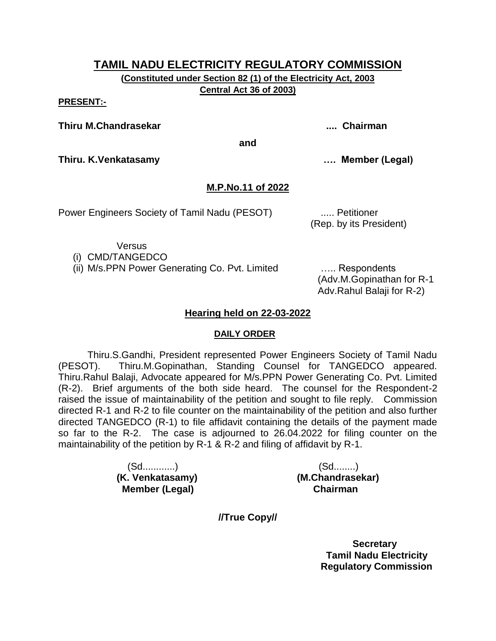**(Constituted under Section 82 (1) of the Electricity Act, 2003 Central Act 36 of 2003)**

**PRESENT:-**

**Thiru M.Chandrasekar .... Chairman**

**Thiru. K.Venkatasamy …. Member (Legal)**

#### **M.P.No.11 of 2022**

**and**

Power Engineers Society of Tamil Nadu (PESOT) ..... Petitioner

(Rep. by its President)

**Versus** 

(i) CMD/TANGEDCO

(ii) M/s.PPN Power Generating Co. Pvt. Limited ….. Respondents

(Adv.M.Gopinathan for R-1 Adv.Rahul Balaji for R-2)

#### **Hearing held on 22-03-2022**

#### **DAILY ORDER**

Thiru.S.Gandhi, President represented Power Engineers Society of Tamil Nadu (PESOT). Thiru.M.Gopinathan, Standing Counsel for TANGEDCO appeared. Thiru.Rahul Balaji, Advocate appeared for M/s.PPN Power Generating Co. Pvt. Limited (R-2). Brief arguments of the both side heard. The counsel for the Respondent-2 raised the issue of maintainability of the petition and sought to file reply. Commission directed R-1 and R-2 to file counter on the maintainability of the petition and also further directed TANGEDCO (R-1) to file affidavit containing the details of the payment made so far to the R-2. The case is adjourned to 26.04.2022 for filing counter on the maintainability of the petition by R-1 & R-2 and filing of affidavit by R-1.

> (Sd............) (Sd........) **(K. Venkatasamy) (M.Chandrasekar) Member (Legal) Chairman**

**//True Copy//**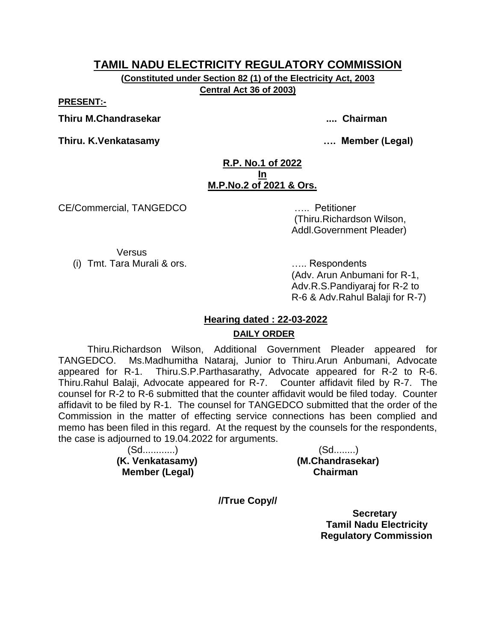**(Constituted under Section 82 (1) of the Electricity Act, 2003 Central Act 36 of 2003)**

**PRESENT:-**

**Thiru M.Chandrasekar .... Chairman**

**Thiru. K.Venkatasamy …. Member (Legal)**

#### **R.P. No.1 of 2022 In M.P.No.2 of 2021 & Ors.**

CE/Commercial, TANGEDCO ….. Petitioner

(Thiru.Richardson Wilson, Addl.Government Pleader)

**Versus** (i) Tmt. Tara Murali & ors. ….. Respondents

(Adv. Arun Anbumani for R-1, Adv.R.S.Pandiyaraj for R-2 to R-6 & Adv.Rahul Balaji for R-7)

# **Hearing dated : 22-03-2022**

#### **DAILY ORDER**

Thiru.Richardson Wilson, Additional Government Pleader appeared for TANGEDCO. Ms.Madhumitha Nataraj, Junior to Thiru.Arun Anbumani, Advocate appeared for R-1. Thiru.S.P.Parthasarathy, Advocate appeared for R-2 to R-6. Thiru.Rahul Balaji, Advocate appeared for R-7. Counter affidavit filed by R-7. The counsel for R-2 to R-6 submitted that the counter affidavit would be filed today. Counter affidavit to be filed by R-1. The counsel for TANGEDCO submitted that the order of the Commission in the matter of effecting service connections has been complied and memo has been filed in this regard. At the request by the counsels for the respondents, the case is adjourned to 19.04.2022 for arguments.

> (Sd............) (Sd........)  **Member (Legal) Chairman**

**(K. Venkatasamy) (M.Chandrasekar)**

**//True Copy//**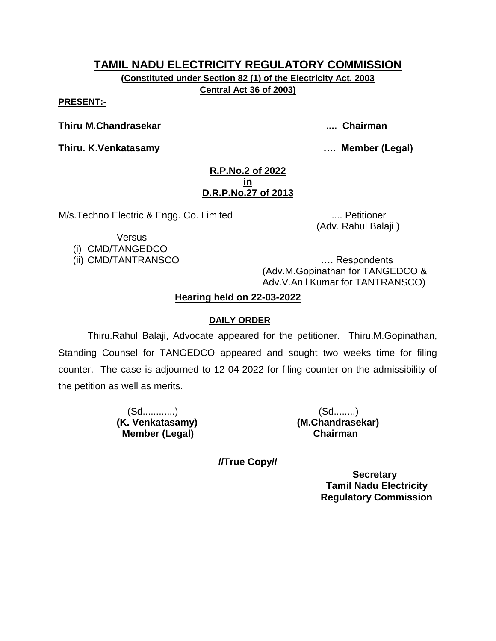**(Constituted under Section 82 (1) of the Electricity Act, 2003 Central Act 36 of 2003)**

**PRESENT:-**

**Thiru M.Chandrasekar .... Chairman**

**Thiru. K.Venkatasamy …. Member (Legal)**

#### **R.P.No.2 of 2022 in D.R.P.No.27 of 2013**

M/s.Techno Electric & Engg. Co. Limited .... Petitioner

(Adv. Rahul Balaji )

**Versus** 

(i) CMD/TANGEDCO

(ii) CMD/TANTRANSCO …. Respondents (Adv.M.Gopinathan for TANGEDCO & Adv.V.Anil Kumar for TANTRANSCO)

# **Hearing held on 22-03-2022**

# **DAILY ORDER**

Thiru.Rahul Balaji, Advocate appeared for the petitioner. Thiru.M.Gopinathan, Standing Counsel for TANGEDCO appeared and sought two weeks time for filing counter. The case is adjourned to 12-04-2022 for filing counter on the admissibility of the petition as well as merits.

> (Sd............) (Sd........) **(K. Venkatasamy) (M.Chandrasekar) Member (Legal) Chairman**

**//True Copy//**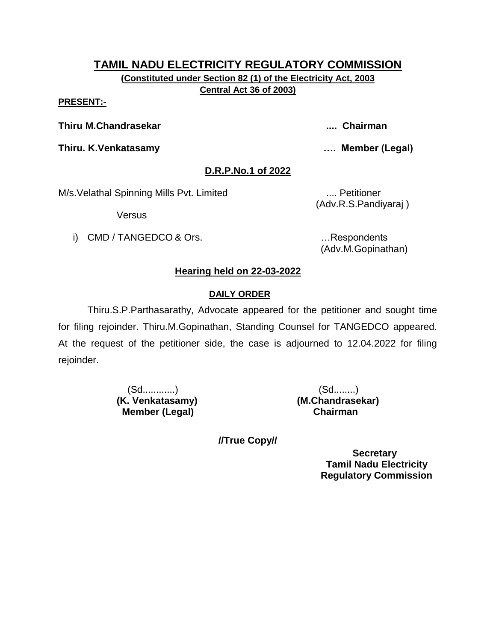**(Constituted under Section 82 (1) of the Electricity Act, 2003 Central Act 36 of 2003)**

#### **PRESENT:-**

**Thiru M.Chandrasekar .... Chairman**

**Thiru. K.Venkatasamy …. Member (Legal)**

# **D.R.P.No.1 of 2022**

M/s. Velathal Spinning Mills Pvt. Limited .... Petitioner

**Versus** 

i) CMD / TANGEDCO & Ors. **EXECUTE:** 1. Respondents

(Adv.R.S.Pandiyaraj )

(Adv.M.Gopinathan)

# **Hearing held on 22-03-2022**

# **DAILY ORDER**

Thiru.S.P.Parthasarathy, Advocate appeared for the petitioner and sought time for filing rejoinder. Thiru.M.Gopinathan, Standing Counsel for TANGEDCO appeared. At the request of the petitioner side, the case is adjourned to 12.04.2022 for filing rejoinder.

> (Sd............) (Sd........)  **Member (Legal) Chairman**

**(K. Venkatasamy) (M.Chandrasekar)**

**//True Copy//**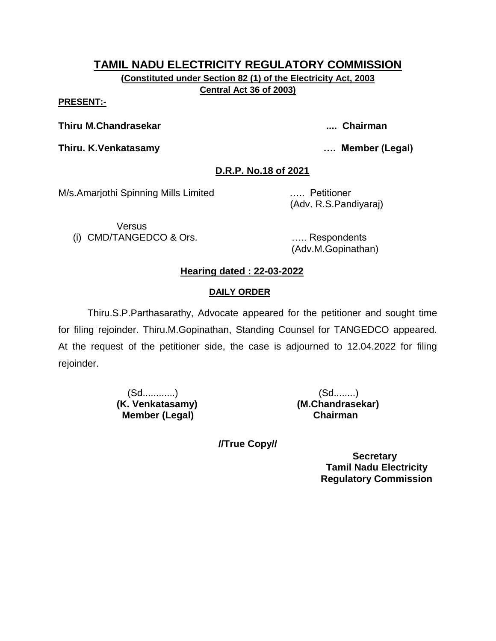**(Constituted under Section 82 (1) of the Electricity Act, 2003 Central Act 36 of 2003)**

#### **PRESENT:-**

**Thiru M.Chandrasekar .... Chairman**

**Thiru. K.Venkatasamy …. Member (Legal)**

### **D.R.P. No.18 of 2021**

M/s.Amarjothi Spinning Mills Limited ….. Petitioner

(Adv. R.S.Pandiyaraj)

**Versus** (i) CMD/TANGEDCO & Ors. ….. Respondents

(Adv.M.Gopinathan)

# **Hearing dated : 22-03-2022**

# **DAILY ORDER**

Thiru.S.P.Parthasarathy, Advocate appeared for the petitioner and sought time for filing rejoinder. Thiru.M.Gopinathan, Standing Counsel for TANGEDCO appeared. At the request of the petitioner side, the case is adjourned to 12.04.2022 for filing rejoinder.

> (Sd............) (Sd........)  **Member (Legal) Chairman**

**(K. Venkatasamy) (M.Chandrasekar)**

**//True Copy//**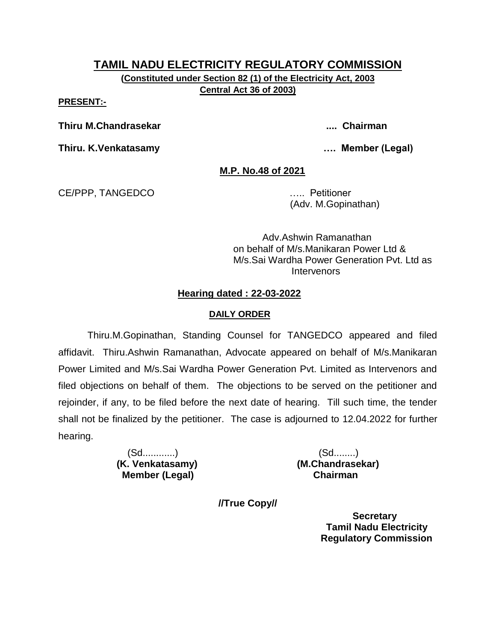**(Constituted under Section 82 (1) of the Electricity Act, 2003 Central Act 36 of 2003)**

**PRESENT:-**

**Thiru M.Chandrasekar .... Chairman**

**Thiru. K.Venkatasamy …. Member (Legal)**

**M.P. No.48 of 2021**

CE/PPP, TANGEDCO ….. Petitioner

(Adv. M.Gopinathan)

Adv.Ashwin Ramanathan on behalf of M/s.Manikaran Power Ltd & M/s.Sai Wardha Power Generation Pvt. Ltd as **Intervenors** 

#### **Hearing dated : 22-03-2022**

#### **DAILY ORDER**

Thiru.M.Gopinathan, Standing Counsel for TANGEDCO appeared and filed affidavit. Thiru.Ashwin Ramanathan, Advocate appeared on behalf of M/s.Manikaran Power Limited and M/s.Sai Wardha Power Generation Pvt. Limited as Intervenors and filed objections on behalf of them. The objections to be served on the petitioner and rejoinder, if any, to be filed before the next date of hearing. Till such time, the tender shall not be finalized by the petitioner. The case is adjourned to 12.04.2022 for further hearing.

> (Sd............) (Sd........) **(K. Venkatasamy) (M.Chandrasekar) Member (Legal) Chairman**

**//True Copy//**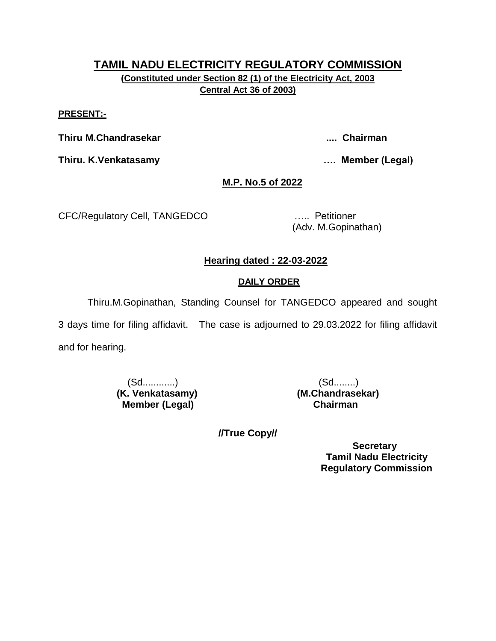# **TAMIL NADU ELECTRICITY REGULATORY COMMISSION (Constituted under Section 82 (1) of the Electricity Act, 2003 Central Act 36 of 2003)**

#### **PRESENT:-**

**Thiru M.Chandrasekar .... Chairman**

**Thiru. K.Venkatasamy …. Member (Legal)**

### **M.P. No.5 of 2022**

CFC/Regulatory Cell, TANGEDCO ….. Petitioner

(Adv. M.Gopinathan)

#### **Hearing dated : 22-03-2022**

#### **DAILY ORDER**

Thiru.M.Gopinathan, Standing Counsel for TANGEDCO appeared and sought

3 days time for filing affidavit. The case is adjourned to 29.03.2022 for filing affidavit and for hearing.

> (Sd............) (Sd........) **(K. Venkatasamy) (M.Chandrasekar) Member (Legal) Chairman**

**//True Copy//**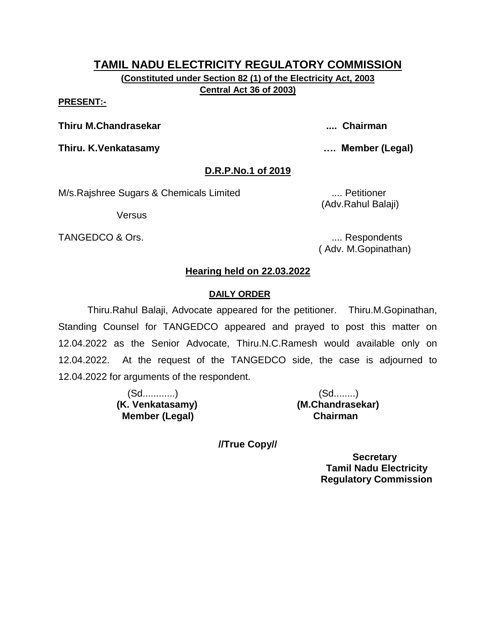#### **TAMIL NADU ELECTRICITY REGULATORY COMMISSION (Constituted under Section 82 (1) of the Electricity Act, 2003**

**Central Act 36 of 2003)**

#### **PRESENT:-**

**Thiru M.Chandrasekar .... Chairman**

**Thiru. K.Venkatasamy …. Member (Legal)**

#### **D.R.P.No.1 of 2019**

M/s.Rajshree Sugars & Chemicals Limited .... Petitioner

Versus

TANGEDCO & Ors. .... Respondents

(Adv.Rahul Balaji)

( Adv. M.Gopinathan)

#### **Hearing held on 22.03.2022**

#### **DAILY ORDER**

Thiru.Rahul Balaji, Advocate appeared for the petitioner. Thiru.M.Gopinathan, Standing Counsel for TANGEDCO appeared and prayed to post this matter on 12.04.2022 as the Senior Advocate, Thiru.N.C.Ramesh would available only on 12.04.2022. At the request of the TANGEDCO side, the case is adjourned to 12.04.2022 for arguments of the respondent.

> (Sd............) (Sd........) **(K. Venkatasamy) (M.Chandrasekar) Member (Legal) Chairman**

**//True Copy//**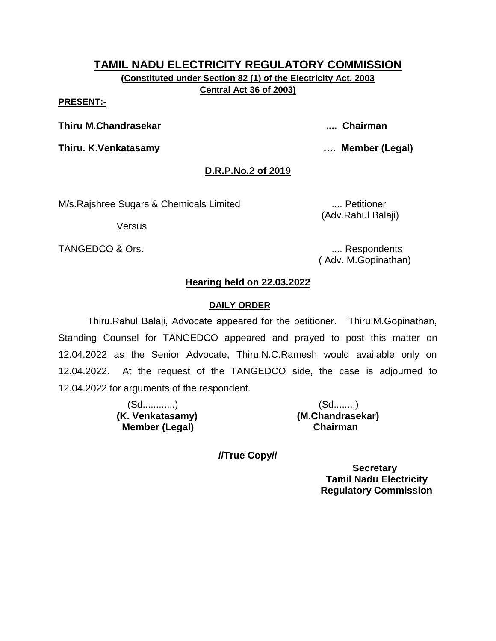### **TAMIL NADU ELECTRICITY REGULATORY COMMISSION (Constituted under Section 82 (1) of the Electricity Act, 2003**

**Central Act 36 of 2003)**

#### **PRESENT:-**

**Thiru M.Chandrasekar .... Chairman**

**Thiru. K.Venkatasamy …. Member (Legal)**

### **D.R.P.No.2 of 2019**

M/s.Rajshree Sugars & Chemicals Limited .... Petitioner

Versus

(Adv.Rahul Balaji)

TANGEDCO & Ors. .... Respondents

( Adv. M.Gopinathan)

# **Hearing held on 22.03.2022**

#### **DAILY ORDER**

Thiru.Rahul Balaji, Advocate appeared for the petitioner. Thiru.M.Gopinathan, Standing Counsel for TANGEDCO appeared and prayed to post this matter on 12.04.2022 as the Senior Advocate, Thiru.N.C.Ramesh would available only on 12.04.2022. At the request of the TANGEDCO side, the case is adjourned to 12.04.2022 for arguments of the respondent.

> (Sd............) (Sd........) **(K. Venkatasamy) (M.Chandrasekar) Member (Legal) Chairman**

**//True Copy//**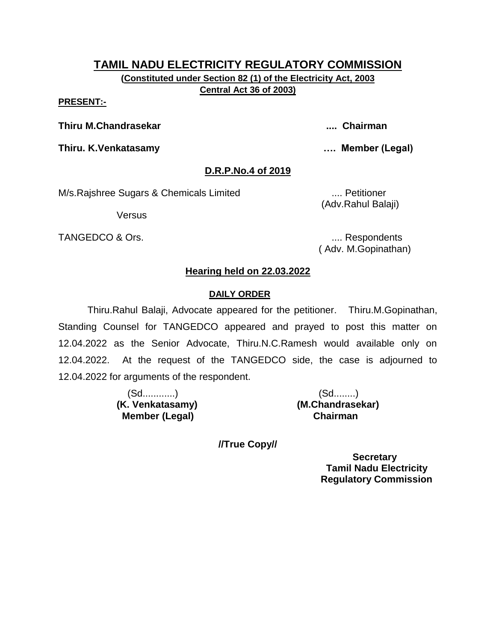# **TAMIL NADU ELECTRICITY REGULATORY COMMISSION (Constituted under Section 82 (1) of the Electricity Act, 2003**

**Central Act 36 of 2003)**

#### **PRESENT:-**

**Thiru M.Chandrasekar .... Chairman**

**Thiru. K.Venkatasamy …. Member (Legal)**

#### **D.R.P.No.4 of 2019**

M/s.Rajshree Sugars & Chemicals Limited .... Petitioner

Versus

TANGEDCO & Ors. .... Respondents

(Adv.Rahul Balaji)

( Adv. M.Gopinathan)

#### **Hearing held on 22.03.2022**

#### **DAILY ORDER**

Thiru.Rahul Balaji, Advocate appeared for the petitioner. Thiru.M.Gopinathan, Standing Counsel for TANGEDCO appeared and prayed to post this matter on 12.04.2022 as the Senior Advocate, Thiru.N.C.Ramesh would available only on 12.04.2022. At the request of the TANGEDCO side, the case is adjourned to 12.04.2022 for arguments of the respondent.

> (Sd............) (Sd........) **(K. Venkatasamy) (M.Chandrasekar) Member (Legal) Chairman**

**//True Copy//**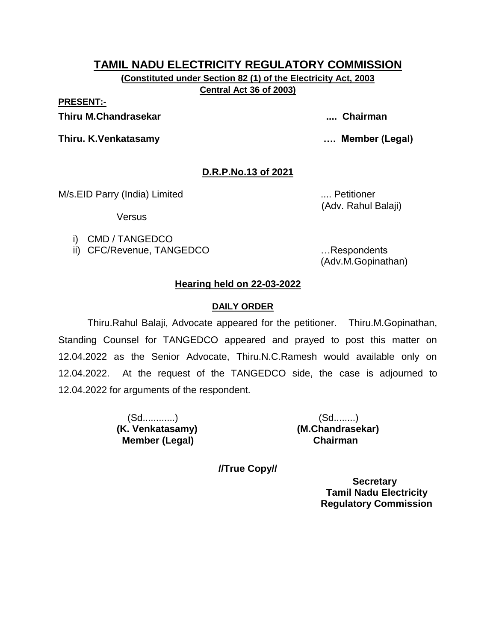**(Constituted under Section 82 (1) of the Electricity Act, 2003 Central Act 36 of 2003)**

**PRESENT:-**

**Thiru M.Chandrasekar .... Chairman**

**Thiru. K.Venkatasamy …. Member (Legal)**

# **D.R.P.No.13 of 2021**

M/s.EID Parry (India) Limited .... Petitioner

Versus

i) CMD / TANGEDCO

ii) CFC/Revenue, TANGEDCO …Respondents

(Adv. Rahul Balaji)

(Adv.M.Gopinathan)

# **Hearing held on 22-03-2022**

# **DAILY ORDER**

Thiru.Rahul Balaji, Advocate appeared for the petitioner. Thiru.M.Gopinathan, Standing Counsel for TANGEDCO appeared and prayed to post this matter on 12.04.2022 as the Senior Advocate, Thiru.N.C.Ramesh would available only on 12.04.2022. At the request of the TANGEDCO side, the case is adjourned to 12.04.2022 for arguments of the respondent.

> (Sd............) (Sd........)  **Member (Legal) Chairman**

**(K. Venkatasamy) (M.Chandrasekar)**

**//True Copy//**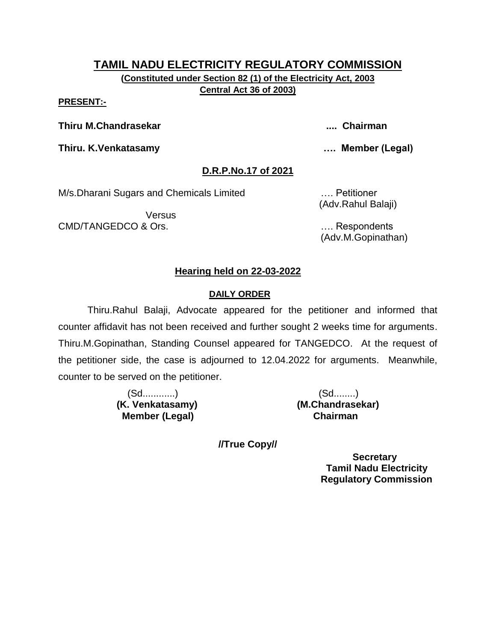**(Constituted under Section 82 (1) of the Electricity Act, 2003 Central Act 36 of 2003)**

#### **PRESENT:-**

**Thiru M.Chandrasekar .... Chairman**

**Thiru. K.Venkatasamy …. Member (Legal)**

#### **D.R.P.No.17 of 2021**

M/s.Dharani Sugars and Chemicals Limited …. Petitioner

**Versus** CMD/TANGEDCO & Ors. …. Respondents

(Adv.Rahul Balaji)

(Adv.M.Gopinathan)

### **Hearing held on 22-03-2022**

### **DAILY ORDER**

Thiru.Rahul Balaji, Advocate appeared for the petitioner and informed that counter affidavit has not been received and further sought 2 weeks time for arguments. Thiru.M.Gopinathan, Standing Counsel appeared for TANGEDCO. At the request of the petitioner side, the case is adjourned to 12.04.2022 for arguments. Meanwhile, counter to be served on the petitioner.

> (Sd............) (Sd........)  **Member (Legal) Chairman**

**(K. Venkatasamy) (M.Chandrasekar)**

**//True Copy//**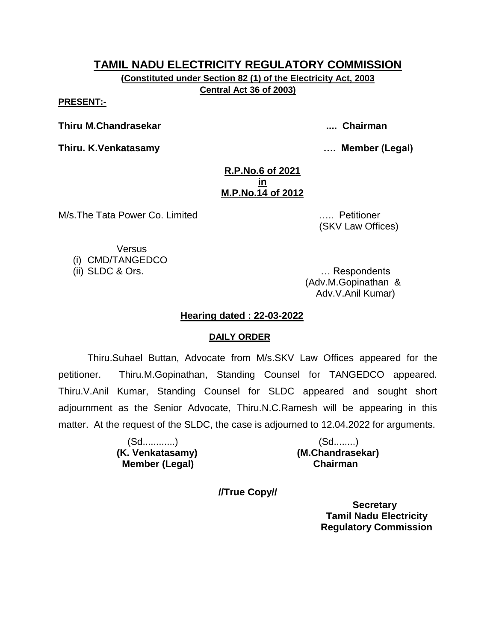**(Constituted under Section 82 (1) of the Electricity Act, 2003 Central Act 36 of 2003)**

**PRESENT:-**

**Thiru M.Chandrasekar .... Chairman**

**Thiru. K.Venkatasamy …. Member (Legal)**

#### **R.P.No.6 of 2021 in M.P.No.14 of 2012**

M/s.The Tata Power Co. Limited ….. Petitioner

(SKV Law Offices)

Versus

(i) CMD/TANGEDCO

(ii) SLDC & Ors. … Respondents (Adv.M.Gopinathan & Adv.V.Anil Kumar)

## **Hearing dated : 22-03-2022**

# **DAILY ORDER**

Thiru.Suhael Buttan, Advocate from M/s.SKV Law Offices appeared for the petitioner. Thiru.M.Gopinathan, Standing Counsel for TANGEDCO appeared. Thiru.V.Anil Kumar, Standing Counsel for SLDC appeared and sought short adjournment as the Senior Advocate, Thiru.N.C.Ramesh will be appearing in this matter. At the request of the SLDC, the case is adjourned to 12.04.2022 for arguments.

> (Sd............) (Sd........) **(K. Venkatasamy) (M.Chandrasekar) Member (Legal) Chairman**

**//True Copy//**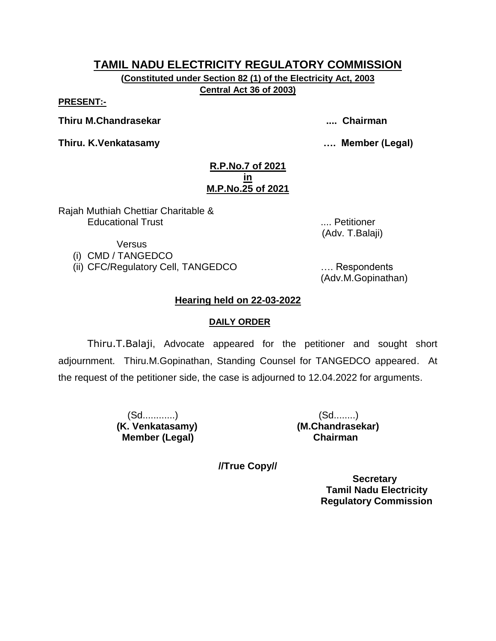**(Constituted under Section 82 (1) of the Electricity Act, 2003 Central Act 36 of 2003)**

**PRESENT:-**

**Thiru M.Chandrasekar .... Chairman**

**Thiru. K.Venkatasamy …. Member (Legal)**

#### **R.P.No.7 of 2021 in M.P.No.25 of 2021**

Rajah Muthiah Chettiar Charitable & Educational Trust .... Petitioner

Versus

(i) CMD / TANGEDCO

(ii) CFC/Regulatory Cell, TANGEDCO …. Respondents

(Adv.M.Gopinathan)

(Adv. T.Balaji)

### **Hearing held on 22-03-2022**

#### **DAILY ORDER**

Thiru.T.Balaji, Advocate appeared for the petitioner and sought short adjournment. Thiru.M.Gopinathan, Standing Counsel for TANGEDCO appeared. At the request of the petitioner side, the case is adjourned to 12.04.2022 for arguments.

> (Sd............) (Sd........) **(K. Venkatasamy) (M.Chandrasekar) Member (Legal) Chairman**

**//True Copy//**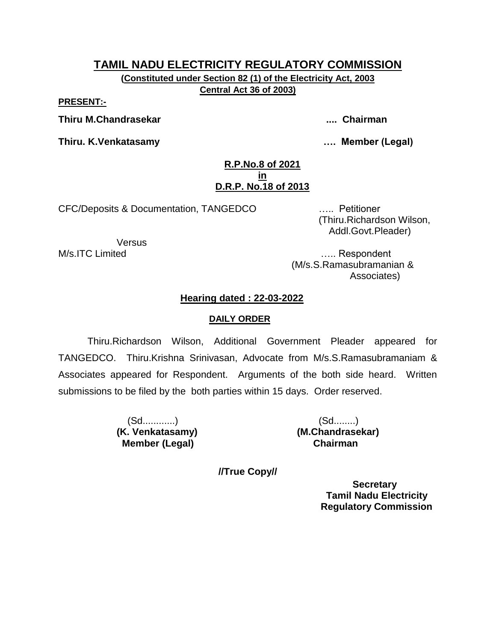**(Constituted under Section 82 (1) of the Electricity Act, 2003 Central Act 36 of 2003)**

**PRESENT:-**

**Thiru M.Chandrasekar .... Chairman**

**Thiru. K.Venkatasamy …. Member (Legal)**

#### **R.P.No.8 of 2021 in D.R.P. No.18 of 2013**

CFC/Deposits & Documentation, TANGEDCO ….. Petitioner

Versus

 (Thiru.Richardson Wilson, Addl.Govt.Pleader)

M/s.ITC Limited **M/s.ITC** Limited (M/s.S.Ramasubramanian & Associates)

#### **Hearing dated : 22-03-2022**

#### **DAILY ORDER**

Thiru.Richardson Wilson, Additional Government Pleader appeared for TANGEDCO. Thiru.Krishna Srinivasan, Advocate from M/s.S.Ramasubramaniam & Associates appeared for Respondent. Arguments of the both side heard. Written submissions to be filed by the both parties within 15 days. Order reserved.

> (Sd............) (Sd........)  **Member (Legal) Chairman**

**(K. Venkatasamy) (M.Chandrasekar)**

**//True Copy//**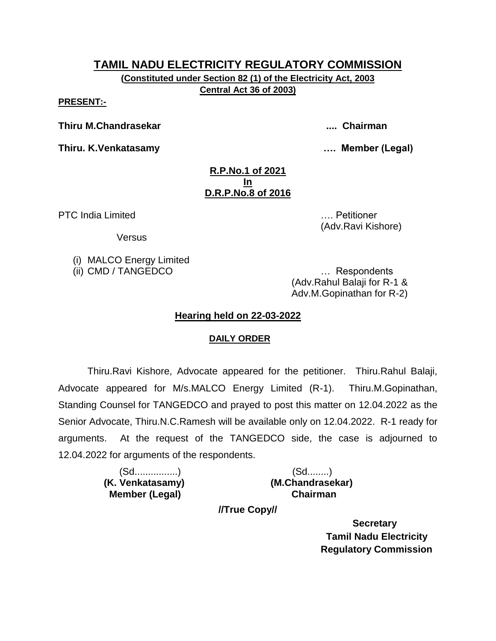**(Constituted under Section 82 (1) of the Electricity Act, 2003 Central Act 36 of 2003)**

**PRESENT:-**

**Thiru M.Chandrasekar .... Chairman**

**Thiru. K.Venkatasamy …. Member (Legal)**

(Adv.Ravi Kishore)

#### **R.P.No.1 of 2021 In D.R.P.No.8 of 2016**

PTC India Limited **Exercise 2018** 2019 12:00:00 MHz 2019 12:00:00 MHz 2019 12:00:00 MHz 2019 12:00:00 MHz 2019 12:00:00 MHz 2019 12:00:00 MHz 2019 12:00:00 MHz 2019 12:00:00 MHz 2019 12:00:00 MHz 2019 12:00:00 MHz 2019 12:

**Versus** 

(i) MALCO Energy Limited

(ii) CMD / TANGEDCO … Respondents (Adv.Rahul Balaji for R-1 & Adv.M.Gopinathan for R-2)

## **Hearing held on 22-03-2022**

#### **DAILY ORDER**

Thiru.Ravi Kishore, Advocate appeared for the petitioner. Thiru.Rahul Balaji, Advocate appeared for M/s.MALCO Energy Limited (R-1). Thiru.M.Gopinathan, Standing Counsel for TANGEDCO and prayed to post this matter on 12.04.2022 as the Senior Advocate, Thiru.N.C.Ramesh will be available only on 12.04.2022. R-1 ready for arguments. At the request of the TANGEDCO side, the case is adjourned to 12.04.2022 for arguments of the respondents.

> (Sd................) (Sd........)  **Member (Legal) Chairman**

 **(K. Venkatasamy) (M.Chandrasekar)**

**//True Copy//**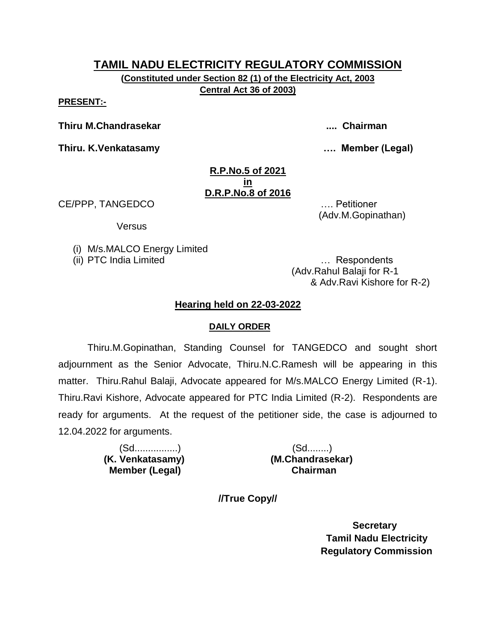**(Constituted under Section 82 (1) of the Electricity Act, 2003 Central Act 36 of 2003)**

**PRESENT:-**

**Thiru M.Chandrasekar .... Chairman**

**Thiru. K.Venkatasamy …. Member (Legal)**

#### **R.P.No.5 of 2021 in D.R.P.No.8 of 2016**

CE/PPP, TANGEDCO …. Petitioner

Versus

(i) M/s.MALCO Energy Limited

(ii) PTC India Limited … Respondents

(Adv.Rahul Balaji for R-1 & Adv.Ravi Kishore for R-2)

(Adv.M.Gopinathan)

#### **Hearing held on 22-03-2022**

#### **DAILY ORDER**

Thiru.M.Gopinathan, Standing Counsel for TANGEDCO and sought short adjournment as the Senior Advocate, Thiru.N.C.Ramesh will be appearing in this matter. Thiru.Rahul Balaji, Advocate appeared for M/s.MALCO Energy Limited (R-1). Thiru.Ravi Kishore, Advocate appeared for PTC India Limited (R-2). Respondents are ready for arguments. At the request of the petitioner side, the case is adjourned to 12.04.2022 for arguments.

> (Sd................) (Sd........)  **Member (Legal) Chairman**

 **(K. Venkatasamy) (M.Chandrasekar)**

**//True Copy//**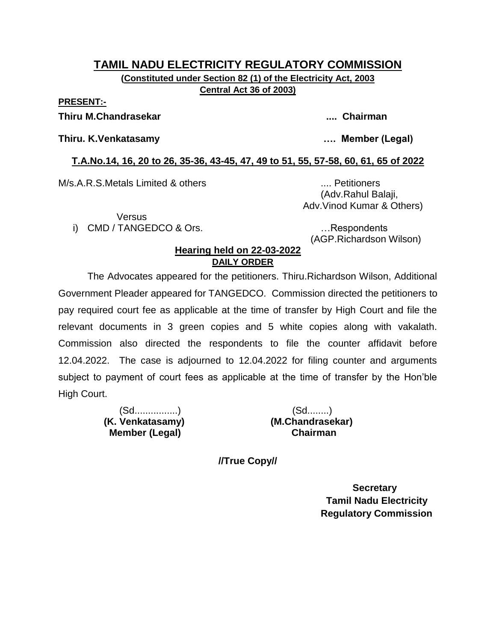#### **TAMIL NADU ELECTRICITY REGULATORY COMMISSION (Constituted under Section 82 (1) of the Electricity Act, 2003 Central Act 36 of 2003)**

**PRESENT:-**

#### **Thiru M.Chandrasekar .... Chairman**

#### **Thiru. K.Venkatasamy …. Member (Legal)**

#### **T.A.No.14, 16, 20 to 26, 35-36, 43-45, 47, 49 to 51, 55, 57-58, 60, 61, 65 of 2022**

M/s.A.R.S.Metals Limited & others .... Petitioners

Versus

i) CMD / TANGEDCO & Ors. **Example 20** in the second control of the second control of the second control of the second control of the second control of the second control of the second control of the second control of the s

(AGP.Richardson Wilson)

 (Adv.Rahul Balaji, Adv.Vinod Kumar & Others)

#### **Hearing held on 22-03-2022 DAILY ORDER**

The Advocates appeared for the petitioners. Thiru.Richardson Wilson, Additional Government Pleader appeared for TANGEDCO. Commission directed the petitioners to pay required court fee as applicable at the time of transfer by High Court and file the relevant documents in 3 green copies and 5 white copies along with vakalath. Commission also directed the respondents to file the counter affidavit before 12.04.2022. The case is adjourned to 12.04.2022 for filing counter and arguments subject to payment of court fees as applicable at the time of transfer by the Hon'ble High Court.

> (Sd................) (Sd........)  **(K. Venkatasamy) (M.Chandrasekar) Member (Legal)**

**//True Copy//**